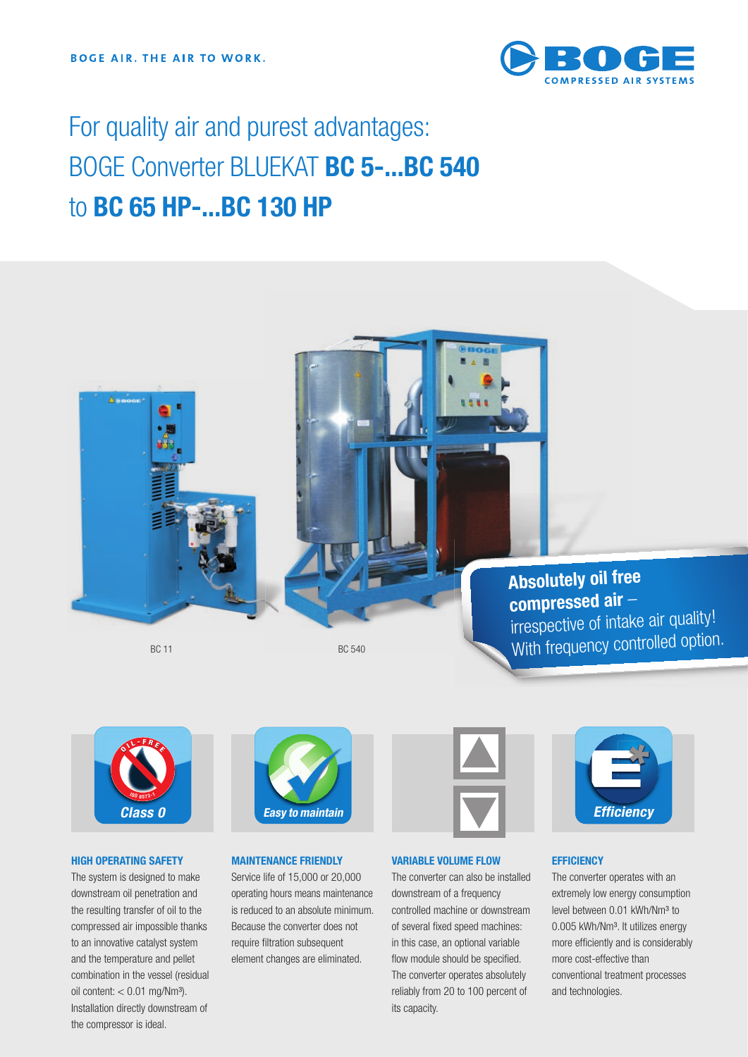

# For quality air and purest advantages: BOGE Converter BLUEKAT **BC 5-...BC 540**  to **BC 65 HP-...BC 130 HP**





# **HIGH OPERATING SAFETY**

The system is designed to make downstream oil penetration and the resulting transfer of oil to the compressed air impossible thanks to an innovative catalyst system and the temperature and pellet combination in the vessel (residual oil content:  $< 0.01$  mg/Nm<sup>3</sup>). Installation directly downstream of the compressor is ideal.



# **MAINTENANCE FRIENDLY**

Service life of 15,000 or 20,000 operating hours means maintenance is reduced to an absolute minimum. Because the converter does not require filtration subsequent element changes are eliminated.



# **VARIABLE VOLUME FLOW**

The converter can also be installed downstream of a frequency controlled machine or downstream of several fixed speed machines: in this case, an optional variable flow module should be specified. The converter operates absolutely reliably from 20 to 100 percent of its capacity.



#### **EFFICIENCY**

The converter operates with an extremely low energy consumption level between 0.01 kWh/Nm<sup>3</sup> to 0.005 kWh/Nm<sup>3</sup>. It utilizes energy more efficiently and is considerably more cost-effective than conventional treatment processes and technologies.